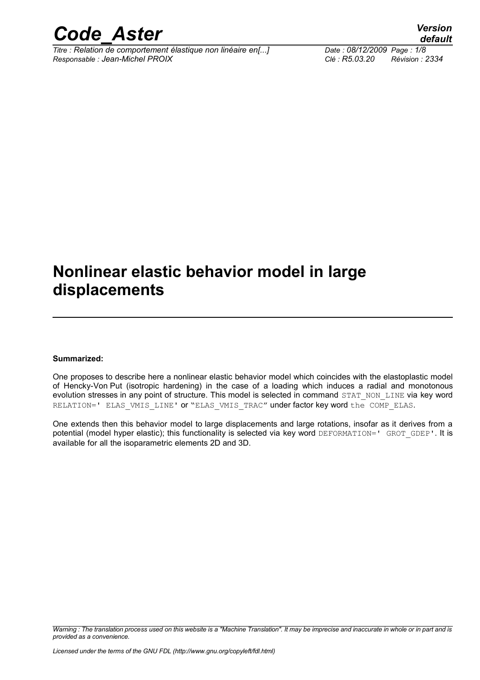

*Titre : Relation de comportement élastique non linéaire en[...] Date : 08/12/2009 Page : 1/8 Responsable : Jean-Michel PROIX Clé : R5.03.20 Révision : 2334*

*default*

### **Nonlinear elastic behavior model in large displacements**

#### **Summarized:**

One proposes to describe here a nonlinear elastic behavior model which coincides with the elastoplastic model of Hencky-Von Put (isotropic hardening) in the case of a loading which induces a radial and monotonous evolution stresses in any point of structure. This model is selected in command STAT\_NON\_LINE via key word RELATION=' ELAS VMIS LINE' or "ELAS VMIS TRAC" under factor key word the COMP ELAS.

One extends then this behavior model to large displacements and large rotations, insofar as it derives from a potential (model hyper elastic); this functionality is selected via key word DEFORMATION=' GROT GDEP'. It is available for all the isoparametric elements 2D and 3D.

*Warning : The translation process used on this website is a "Machine Translation". It may be imprecise and inaccurate in whole or in part and is provided as a convenience.*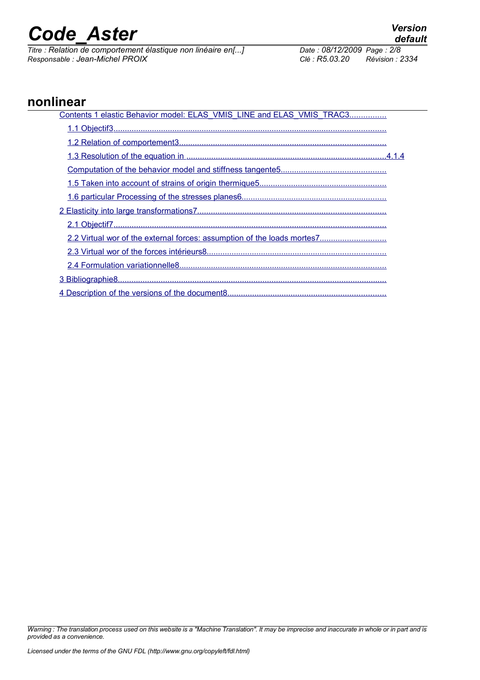*Titre : Relation de comportement élastique non linéaire en[...] Date : 08/12/2009 Page : 2/8 Responsable : Jean-Michel PROIX Clé : R5.03.20 Révision : 2334*

### **nonlinear**

| Contents 1 elastic Behavior model: ELAS VMIS LINE and ELAS VMIS TRAC3 |
|-----------------------------------------------------------------------|
|                                                                       |
|                                                                       |
|                                                                       |
|                                                                       |
|                                                                       |
|                                                                       |
|                                                                       |
|                                                                       |
|                                                                       |
|                                                                       |
|                                                                       |
|                                                                       |
|                                                                       |

*Warning : The translation process used on this website is a "Machine Translation". It may be imprecise and inaccurate in whole or in part and is provided as a convenience.*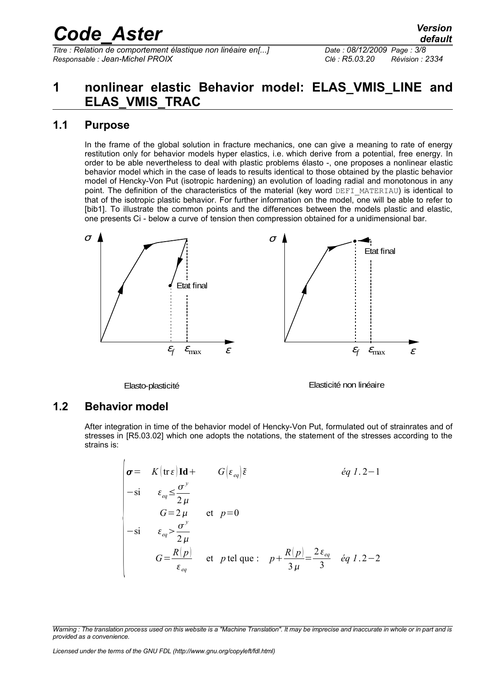*Titre : Relation de comportement élastique non linéaire en[...] Date : 08/12/2009 Page : 3/8 Responsable : Jean-Michel PROIX Clé : R5.03.20 Révision : 2334*

### <span id="page-2-0"></span>**1 nonlinear elastic Behavior model: ELAS\_VMIS\_LINE and ELAS\_VMIS\_TRAC**

### **1.1 Purpose**

<span id="page-2-2"></span>In the frame of the global solution in fracture mechanics, one can give a meaning to rate of energy restitution only for behavior models hyper elastics, i.e. which derive from a potential, free energy. In order to be able nevertheless to deal with plastic problems élasto -, one proposes a nonlinear elastic behavior model which in the case of leads to results identical to those obtained by the plastic behavior model of Hencky-Von Put (isotropic hardening) an evolution of loading radial and monotonous in any point. The definition of the characteristics of the material (key word DEFI\_MATERIAU) is identical to that of the isotropic plastic behavior. For further information on the model, one will be able to refer to [bib1]. To illustrate the common points and the differences between the models plastic and elastic, one presents Ci - below a curve of tension then compression obtained for a unidimensional bar.



Elasto-plasticité

Elasticité non linéaire

#### **1.2 Behavior model**

 $\overline{1}$ 

<span id="page-2-1"></span>After integration in time of the behavior model of Hencky-Von Put, formulated out of strainrates and of stresses in [R5.03.02] which one adopts the notations, the statement of the stresses according to the strains is:

$$
\sigma = K(\text{tr} \varepsilon) \text{Id} + G(\varepsilon_{eq})\tilde{\varepsilon}
$$
\n
$$
= \sin \varepsilon_{eq} \leq \frac{\sigma^y}{2\mu}
$$
\n
$$
G = 2\mu \quad \text{et} \quad p = 0
$$
\n
$$
= \sin \varepsilon_{eq} \leq \frac{\sigma^y}{2\mu}
$$
\n
$$
G = \frac{R(p)}{\varepsilon_{eq}} \quad \text{et} \quad p \text{ tel que :} \quad p + \frac{R(p)}{3\mu} = \frac{2\varepsilon_{eq}}{3} \quad \text{eq} \quad 1.2 - 2
$$

*Warning : The translation process used on this website is a "Machine Translation". It may be imprecise and inaccurate in whole or in part and is provided as a convenience.*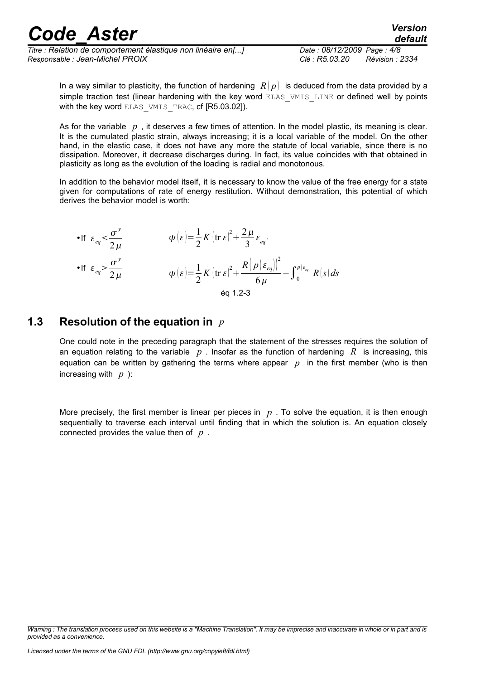*Titre : Relation de comportement élastique non linéaire en[...] Date : 08/12/2009 Page : 4/8 Responsable : Jean-Michel PROIX Clé : R5.03.20 Révision : 2334*

*default*

In a way similar to plasticity, the function of hardening  $R(p)$  is deduced from the data provided by a simple traction test (linear hardening with the key word ELAS VMIS LINE or defined well by points with the key word ELAS\_VMIS\_TRAC, cf [R5.03.02]).

As for the variable *p* , it deserves a few times of attention. In the model plastic, its meaning is clear. It is the cumulated plastic strain, always increasing; it is a local variable of the model. On the other hand, in the elastic case, it does not have any more the statute of local variable, since there is no dissipation. Moreover, it decrease discharges during. In fact, its value coincides with that obtained in plasticity as long as the evolution of the loading is radial and monotonous.

In addition to the behavior model itself, it is necessary to know the value of the free energy for a state given for computations of rate of energy restitution. Without demonstration, this potential of which derives the behavior model is worth:

• If 
$$
\varepsilon_{eq} \leq \frac{\sigma^y}{2\mu}
$$
  $\psi(\varepsilon) = \frac{1}{2} K (\text{tr } \varepsilon)^2 + \frac{2\mu}{3} \varepsilon_{eq^2}$   
\n• If  $\varepsilon_{eq} > \frac{\sigma^y}{2\mu}$   $\psi(\varepsilon) = \frac{1}{2} K (\text{tr } \varepsilon)^2 + \frac{R (p(\varepsilon_{eq}))^2}{6\mu} + \int_0^{p(e_{eq})} R(s) ds$   
\néq 1.2-3

### **1.3 Resolution of the equation in** *p*

<span id="page-3-0"></span>One could note in the preceding paragraph that the statement of the stresses requires the solution of an equation relating to the variable *p* . Insofar as the function of hardening *R* is increasing, this equation can be written by gathering the terms where appear  $p$  in the first member (who is then increasing with *p* ):

More precisely, the first member is linear per pieces in *p* . To solve the equation, it is then enough sequentially to traverse each interval until finding that in which the solution is. An equation closely connected provides the value then of *p* .

*Warning : The translation process used on this website is a "Machine Translation". It may be imprecise and inaccurate in whole or in part and is provided as a convenience.*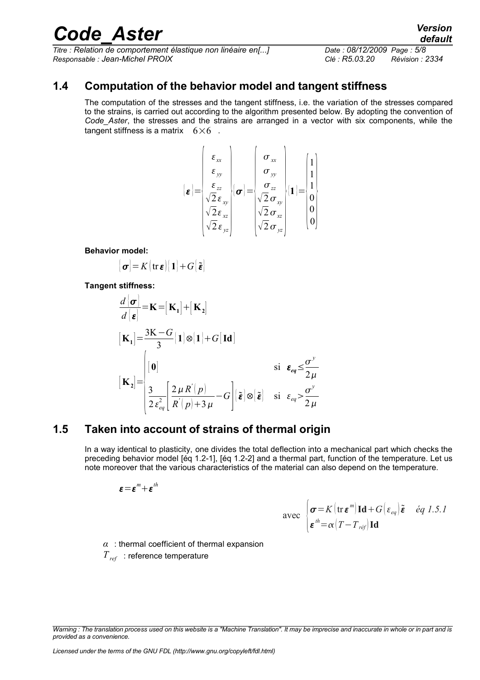*Titre : Relation de comportement élastique non linéaire en[...] Date : 08/12/2009 Page : 5/8 Responsable : Jean-Michel PROIX Clé : R5.03.20 Révision : 2334*

### **1.4 Computation of the behavior model and tangent stiffness**

<span id="page-4-1"></span>The computation of the stresses and the tangent stiffness, i.e. the variation of the stresses compared to the strains, is carried out according to the algorithm presented below. By adopting the convention of *Code\_Aster*, the stresses and the strains are arranged in a vector with six components, while the tangent stiffness is a matrix  $6\times6$ .

$$
\begin{aligned}\n\boldsymbol{\varepsilon} &= \begin{bmatrix}\n\boldsymbol{\varepsilon}_{xx} \\
\boldsymbol{\varepsilon}_{yy} \\
\boldsymbol{\varepsilon}_{zz} \\
\sqrt{2} \boldsymbol{\varepsilon}_{xy} \\
\sqrt{2} \boldsymbol{\varepsilon}_{xz} \\
\sqrt{2} \boldsymbol{\varepsilon}_{yz}\n\end{bmatrix} \boldsymbol{\sigma} = \begin{bmatrix}\n\boldsymbol{\sigma}_{xx} \\
\boldsymbol{\sigma}_{yy} \\
\boldsymbol{\sigma}_{zz} \\
\sqrt{2} \boldsymbol{\sigma}_{xy} \\
\sqrt{2} \boldsymbol{\sigma}_{xz} \\
\sqrt{2} \boldsymbol{\sigma}_{yz}\n\end{bmatrix} \boldsymbol{\varepsilon} \boldsymbol{1} = \begin{bmatrix}\n1 \\
1 \\
0 \\
0 \\
0 \\
0\n\end{bmatrix}\n\end{aligned}
$$

 $\overline{1}$ 

**Behavior model:**

$$
\big\{\boldsymbol{\sigma}\big\} = K\big(\operatorname{tr}\boldsymbol{\varepsilon}\big)\big[\,\boldsymbol{1}\big] + G\big[\,\boldsymbol{\tilde{\varepsilon}}\big]
$$

**Tangent stiffness:**

$$
\frac{d|\sigma|}{d|\epsilon} = \mathbf{K} = [\mathbf{K}_1] + [\mathbf{K}_2]
$$
\n
$$
[\mathbf{K}_1] = \frac{3\mathbf{K} - G}{3} [1] \otimes [1] + G [\mathbf{Id}]
$$
\n
$$
[\mathbf{K}_2] = \begin{cases}\n[0] & \text{si } \epsilon_{eq} \leq \frac{\sigma^{\nu}}{2\mu} \\
\frac{3}{2\epsilon_{eq}^{2}} \left[ \frac{2\mu R^{'}(p)}{R^{'}(p) + 3\mu} - G \right] (\tilde{\epsilon}) \otimes [\tilde{\epsilon}] & \text{si } \epsilon_{eq} > \frac{\sigma^{\nu}}{2\mu}\n\end{cases}
$$

### **1.5 Taken into account of strains of thermal origin**

<span id="page-4-0"></span>In a way identical to plasticity, one divides the total deflection into a mechanical part which checks the preceding behavior model [éq 1.2-1], [éq 1.2-2] and a thermal part, function of the temperature. Let us note moreover that the various characteristics of the material can also depend on the temperature.

$$
\boldsymbol{\varepsilon} \!=\! \boldsymbol{\varepsilon}^m \!+\! \boldsymbol{\varepsilon}^{\textit{th}}
$$

$$
\text{avec } \begin{cases} \sigma = K \left( \text{tr } \boldsymbol{\varepsilon}^m \right) \mathbf{Id} + G \left( \varepsilon_{eq} \right) \tilde{\boldsymbol{\varepsilon}} & \text{\'eq } 1.5.1\\ \boldsymbol{\varepsilon}^{\text{\'e}} = \alpha \left( T - T_{\text{ref}} \right) \mathbf{Id} \end{cases}
$$

*α* : thermal coefficient of thermal expansion *Tref* : reference temperature

*Warning : The translation process used on this website is a "Machine Translation". It may be imprecise and inaccurate in whole or in part and is provided as a convenience.*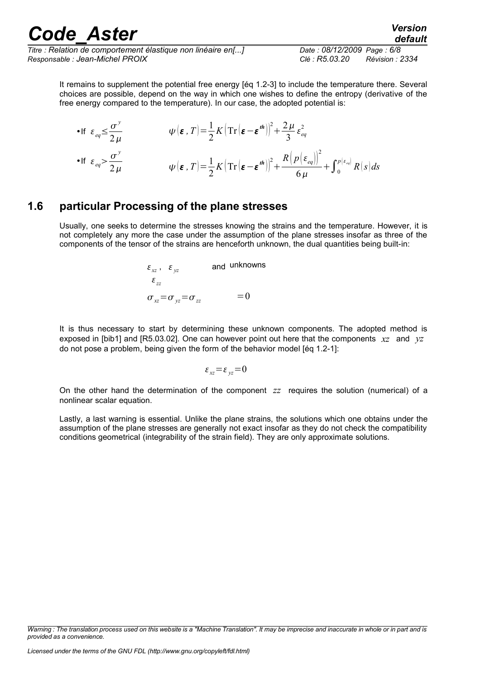*Titre : Relation de comportement élastique non linéaire en[...] Date : 08/12/2009 Page : 6/8 Responsable : Jean-Michel PROIX Clé : R5.03.20 Révision : 2334*

*default*

It remains to supplement the potential free energy [éq 1.2-3] to include the temperature there. Several choices are possible, depend on the way in which one wishes to define the entropy (derivative of the free energy compared to the temperature). In our case, the adopted potential is:

• If 
$$
\varepsilon_{eq} \leq \frac{\sigma^y}{2\mu}
$$
  $\psi(\varepsilon, T) = \frac{1}{2} K \left( \text{Tr} \left( \varepsilon - \varepsilon^{th} \right) \right)^2 + \frac{2\mu}{3} \varepsilon_{eq}^2$   
\n• If  $\varepsilon_{eq} > \frac{\sigma^y}{2\mu}$   $\psi(\varepsilon, T) = \frac{1}{2} K \left( \text{Tr} \left( \varepsilon - \varepsilon^{th} \right) \right)^2 + \frac{R \left( p \left( \varepsilon_{eq} \right) \right)^2}{6\mu} + \int_0^{p \left( \varepsilon_{eq} \right)} R(s) ds$ 

### **1.6 particular Processing of the plane stresses**

<span id="page-5-0"></span>Usually, one seeks to determine the stresses knowing the strains and the temperature. However, it is not completely any more the case under the assumption of the plane stresses insofar as three of the components of the tensor of the strains are henceforth unknown, the dual quantities being built-in:

$$
\varepsilon_{xz}
$$
,  $\varepsilon_{yz}$  and unknowns  
\n $\varepsilon_{zz}$   
\n $\sigma_{xz} = \sigma_{yz} = \sigma_{zz}$  = 0

It is thus necessary to start by determining these unknown components. The adopted method is exposed in [bib1] and [R5.03.02]. One can however point out here that the components *xz* and *yz* do not pose a problem, being given the form of the behavior model [éq 1.2-1]:

$$
\varepsilon_{xz} = \varepsilon_{yz} = 0
$$

On the other hand the determination of the component *zz* requires the solution (numerical) of a nonlinear scalar equation.

Lastly, a last warning is essential. Unlike the plane strains, the solutions which one obtains under the assumption of the plane stresses are generally not exact insofar as they do not check the compatibility conditions geometrical (integrability of the strain field). They are only approximate solutions.

*Warning : The translation process used on this website is a "Machine Translation". It may be imprecise and inaccurate in whole or in part and is provided as a convenience.*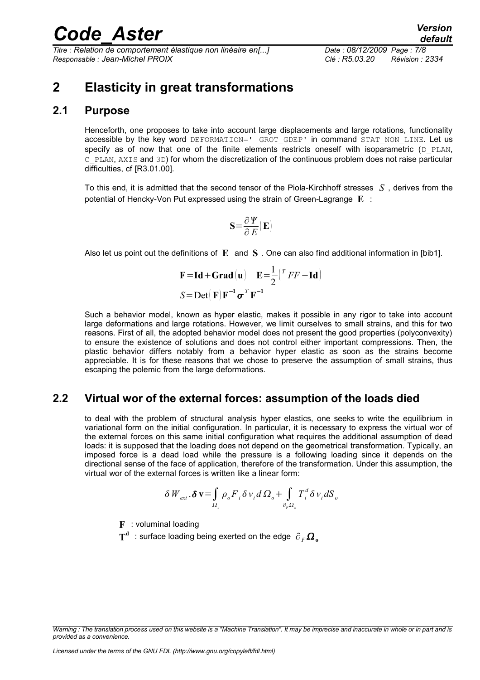*Titre : Relation de comportement élastique non linéaire en[...] Date : 08/12/2009 Page : 7/8 Responsable : Jean-Michel PROIX Clé : R5.03.20 Révision : 2334*

### <span id="page-6-2"></span>**2 Elasticity in great transformations**

#### **2.1 Purpose**

<span id="page-6-1"></span>Henceforth, one proposes to take into account large displacements and large rotations, functionality accessible by the key word DEFORMATION=' GROT GDEP' in command STAT NON LINE. Let us specify as of now that one of the finite elements restricts oneself with isoparametric  $(D)$  PLAN, C\_PLAN, AXIS and 3D) for whom the discretization of the continuous problem does not raise particular difficulties, cf [R3.01.00].

To this end, it is admitted that the second tensor of the Piola-Kirchhoff stresses *S* , derives from the potential of Hencky-Von Put expressed using the strain of Green-Lagrange **E** :

$$
\mathbf{S}{=}\frac{\partial\mathbf{\mathit{Y}}}{\partial\mathbf{\mathit{E}}}(\mathbf{E})
$$

Also let us point out the definitions of **E** and **S** . One can also find additional information in [bib1].

$$
\mathbf{F} = \mathbf{Id} + \mathbf{Grad} \left( \mathbf{u} \right) \quad \mathbf{E} = \frac{1}{2} \left( {}^{T} F F - \mathbf{Id} \right)
$$

$$
S = \mathbf{Det} \left( \mathbf{F} \right) \mathbf{F}^{-1} \boldsymbol{\sigma}^{T} \mathbf{F}^{-1}
$$

Such a behavior model, known as hyper elastic, makes it possible in any rigor to take into account large deformations and large rotations. However, we limit ourselves to small strains, and this for two reasons. First of all, the adopted behavior model does not present the good properties (polyconvexity) to ensure the existence of solutions and does not control either important compressions. Then, the plastic behavior differs notably from a behavior hyper elastic as soon as the strains become appreciable. It is for these reasons that we chose to preserve the assumption of small strains, thus escaping the polemic from the large deformations.

#### **2.2 Virtual wor of the external forces: assumption of the loads died**

<span id="page-6-0"></span>to deal with the problem of structural analysis hyper elastics, one seeks to write the equilibrium in variational form on the initial configuration. In particular, it is necessary to express the virtual wor of the external forces on this same initial configuration what requires the additional assumption of dead loads: it is supposed that the loading does not depend on the geometrical transformation. Typically, an imposed force is a dead load while the pressure is a following loading since it depends on the directional sense of the face of application, therefore of the transformation. Under this assumption, the virtual wor of the external forces is written like a linear form:

$$
\delta W_{ext}.\delta \mathbf{v} = \int_{\Omega_o} \rho_o F_i \delta v_i d\Omega_o + \int_{\partial_r \Omega_o} T_i^d \delta v_i dS_o
$$

**F** : voluminal loading

 $\textbf{T}^\textbf{d} \;$  : surface loading being exerted on the edge  $\left. \partial_{\textit{F}} \boldsymbol{\Omega} _{\textbf{o}} \right.$ 

*Warning : The translation process used on this website is a "Machine Translation". It may be imprecise and inaccurate in whole or in part and is provided as a convenience.*